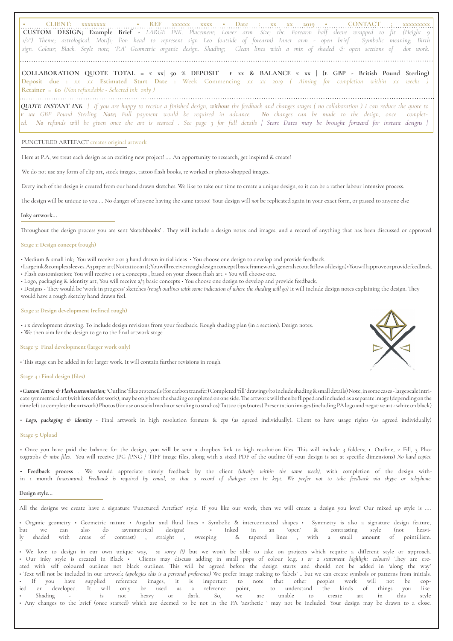• CLIENT: xxxxxxxx • REF xxxxxx xxx • Date : xx xx 2019 • CONTACT ; xxxxxxxx **CUSTOM DESIGN; Example Brief -** *LARGE INK. Placement; Lower arm. Size; tbc. Forearm half sleeve wrapped to fit. (Height 9 1/2") Theme; astrological. Motifs; lion head to represent sign Leo (outside of forearm) Inner arm - open brief . Symbolic meaning; Birth sign. Colour; Black. Style note; 'P.A' Geometric organic design. Shading; Clean lines with a mix of shaded & open sections of dot work.*

**COLLABORATION QUOTE TOTAL = £ xx| 50 % DEPOSIT £ xx & BALANCE £ xx | (£ GBP - British Pound Sterling) Deposit due :** *xx xx* **Estimated Start Date :** Week Commencing *xx xx 2019 ( Aiming for completion within xx weeks )*  **Retainer = £0** *(Non refundable - Selected ink only )* 

*QUOTE INSTANT INK | If you are happy to receive a finished design, without the feedback and changes stages ( no collaboration ) I can reduce the quote to £ xx GBP Pound Sterling. Note; Full payment would be required in advance. No changes can be made to the design, once completed. No refunds will be given once the art is started . See page 3 for full details | Start Dates may be brought forward for instant designs |*

# PUNCTURED ARTEFACT creates original artwork

Here at P.A, we treat each design as an exciting new project! .... An opportunity to research, get inspired & create!

We do not use any form of clip art, stock images, tattoo flash books, re worked or photo-shopped images.

Every inch of the design is created from our hand drawn sketches. We like to take our time to create a unique design, so it can be a rather labour intensive process.

The design will be unique to you ... No danger of anyone having the same tattoo! Your design will *not* be replicated again in your exact form, or passed to anyone else

# **Inky artwork...**

Throughout the design process you are sent 'sketchbooks' . They will include a design notes and images, and a record of anything that has been discussed or approved.

# **Stage 1: Design concept (rough)**

• Medium & small ink; You will receive 2 or 3 hand drawn initial ideas • You choose one design to develop and provide feedback.

• Large ink & complex sleeves. A3 paper art (Not tattoo art) ; You will receive 1 rough design concept ( basic framework , general set out & flow of design) • You will approve or provide feedback. • Flash customisation; You will receive 1 or 2 concepts , based on your chosen flash art. • You will choose one.

• Logo, packaging & identity art; You will receive 2/3 basic concepts • You choose one design to develop and provide feedback.

• Designs - They would be 'work in progress' sketches *(rough outlines with some indication of where the shading will go)* It will include design notes explaining the design. They would have a rough sketchy hand drawn feel.

#### **Stage 2: Design development (refined rough)**

• 1 x development drawing. To include design revisions from your feedback. Rough shading plan (in a section). Design notes. • We then aim for the design to go to the final artwork stage

# **Stage 3: Final development (larger work only)**

• This stage can be added in for larger work. It will contain further revisions in rough.

# **Stage 4 : Final design (files)**

**•** *Custom Tattoo & Flash customisation;* 'Outline' files or stencils (for carbon transfer) Completed 'fill' drawings (to include shading & small details) Note; in some cases - large scale intricate symmetrical art (with lots of dot work), may be only have the shading completed on one side. The artwork will then be flipped and included as a separate image (depending on the time left to complete the artwork) Photos (for use on social media or sending to studios) Tattoo tips (notes) Presentation images (including PA logo and negative art - white on black)

*• Logo, packaging & identity* - Final artwork in high resolution formats & eps (as agreed individually). Client to have usage rights (as agreed individually)

# **Stage 5: Upload**

• Once you have paid the balance for the design, you will be sent a dropbox link to high resolution files. This will include 3 folders; 1. Outline, 2 Fill, 3 Photographs *& misc files.* You will receive JPG /PNG / TIFF image files, along with a sized PDF of the outline (if your design is set at specific dimensions) *No hard copies.*

**• Feedback process** *.* We would appreciate timely feedback by the client *(ideally within the same week),* with completion of the design within 1 month *(maximum). Feedback is required by email, so that a record of dialogue can be kept. We prefer not to take feedback via skype or telephone.* 

#### **Design style...**

All the designs we create have a signature 'Punctured Artefact' style. If you like our work, then we will create a design you love! Our mixed up style is ....

• Organic geometry • Geometric nature • Angular and fluid lines • Symbolic & interconnected shapes • Symmetry is also a signature design feature, but we can also do asymmetrical designs! • Inked in an 'open' & contrasting style (not heavily shaded with areas of contrast) , straight , sweeping & tapered lines , with a small amount of pointillism.

• We love to design in our own unique way, *so sorry (!)* but we won't be able to take on projects which require a different style or approach. • Our inky style is created in Black • Clients may discuss adding in small pops of colour (e.g. *1 or 2 statement highlight colours)* They are created with self coloured outlines not black outlines. This will be agreed before the design starts and should not be added in 'along the way' • Text will not be included in our artwork *(apologies this is a personal preference)* We prefer image making to 'labels' .. but we can create symbols or patterns from initials. • If you have supplied reference images, it is important to note that other peoples work will not be copied or developed. It will only be used as a reference point, to understand the kinds of things you like. or developed. It will only be used as a reference point, to understand the kinds of things you like.<br>Shading - is not heavy or dark. So, we are unable to create art in this style • Any changes to the brief (once started) which are deemed to be not in the PA 'aesthetic ' may not be included. Your design may be drawn to a close.

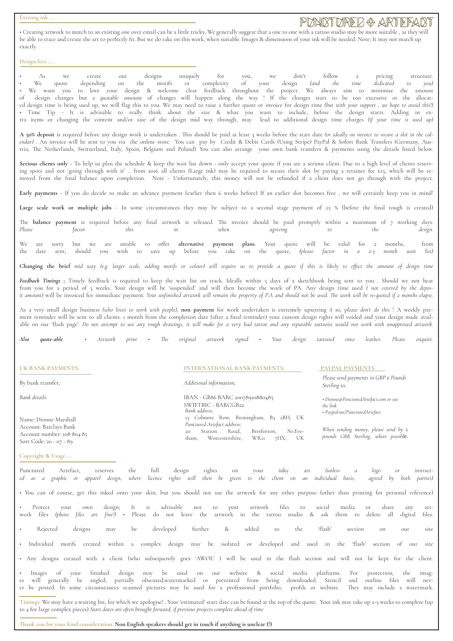#### **Existing ink ...**

# PDNARTDRED & ARTEFART

• Creating artwork to match to an existing one over email can be a little tricky, We generally suggest that a one to one with a tattoo studio may be more suitable , as they will be able to trace and create the art to perfectly fit. But we do take on this work, when suitable. Images & dimensions of your ink will be needed. Note; It may not match up exactly.

#### **Design fees ....**

• As we create our designs uniquely for you, we don't follow a pricing structure. • We quote depending on the motifs or complexity of your design *(and the time dedicated to you)*  • We want you to love your design & welcome clear feedback throughout the project. We always aim to minimise the amount of design changes but a *quotable* amount of changes will happen along the way ! If the changes start to be too excessive or the allocated design time is being used up, we will flag this to you. We may need to raise a further quote or invoice for design time *(but with your support , we hope to avoid this!)* • Time Tip - It is advisable to really think about the size & what you want to include, before the design starts. Adding in extra items or changing the content and/or size of the design mid way through, may lead to additional design time charges *(if your time is used up)* 

**A 50% deposit** is required before any design work is undertaken . This should be paid at least 3 weeks before the start date *(or ideally on invoice to secure a slot in the calendar)* . An invoice will be sent to you via the online store. You can pay by Credit & Debit Cards (Using Stripe) PayPal & Sofort Bank Transfers (Germany, Austria, The Netherlands, Switzerland, Italy, Spain, Belgium and Poland) You can also arrange your own bank transfers & payments using the details listed below.

Serious clients only - To help us plan the schedule & keep the wait list down - only accept your quote if you are a serious client. Due to a high level of clients reserving spots and not 'going through with it' .. from 2016 all clients (Large ink) may be required to secure their slot by paying a retainer fee £15, which will be removed from the final balance upon completion. Note - Unfortunately, this money will not be refunded if a client does not go through with the project.

Early payments - If you do decide to make an advance payment (earlier then 6 weeks before) If an earlier slot becomes free, we will certainly keep you in mind!

Large scale work or multiple jobs - In some circumstances they may be subject to a second stage payment of 25 % (before the final rough is created)

The **balance payment** is required before any final artwork is released. The invoice should be paid promptly within a maximum of 7 working days. *Please factor this in when agreeing to the design.* 

We are sorry but we are unable to offer **alternative payment plans**. Your quote will be valid for 2 months, from the date sent, should you wish to save up before you take on the quote, *(please factor in a 2-3 month wait list)*

**Changing the brief** *mid way (e.g. larger scale, adding motifs or colour) will require us to provide a quote if this is likely to effect the amount of design time*

Feedback Timings ; Timely feedback is required to keep the wait list on track. Ideally within 5 days of a sketchbook being sent to you . Should we not hear from you for a period of 3 weeks. Your design will be 'suspended' and will then become the work of PA. Any design time used *( not covered by the deposit amount)* will be invoiced for immediate payment. *Your unfinished artwork will remain the property of P.A and should not be used. The work will be re-quoted if 2 months elapse.* 

As a very small design business *(who loves to work with people)*, **non payment** for work undertaken is extremely upsetting :( so, p*lease don't do this* ! A weekly payment reminder will be sent to all clients. 1 month from the completion date (after a final reminder) your custom design rights will voided and your design made available on our 'flash page'. *Do not attempt to use any rough drawings, it will make for a very bad tattoo and any reputable tattooist would not work with unapproved artwork.*

*Also quote-able • Artwork print • The original artwork signed • Your design tattooed onto leather. Please enquire.*

|  |  |  |  | UK BANK PAYMENTS: |  |
|--|--|--|--|-------------------|--|
|--|--|--|--|-------------------|--|

Name: Dionne Marshall Account: Barclays Bank Account number: 108 804 85 Sort Code: 20 - 07 - 89

#### **INTERNATIONAL BANK PAYMENTS: PAYPAL PAYMENTS**

By bank transfer; *Additional information;* 

*Bank details:* IBAN - GB86 BARC 20078910880485 SWIFTBIC - BARCGB22 15 Colmore Row, Birmingham, B3 2BH, UK *Punctured Artefact address;* 20 Station Road, Bretforton, Nr.Eve-<br>sham, Worcestershire, WR11 7HX, UK sham, Worcestershire, WR11 7HX, UK

*Please send payments in GBP £ Pounds Sterling to;* 

*• Dionne@PuncturedArtefact.com or use the link Bank address; • Paypal.me/PuncturedArtefact*

*When sending money, please send by £ pounds GBR Sterling, where possible.* 

**Copyright & Usage ...** 

Punctured Artefact, reserves the full design rights on your inky art *(unless a logo or instructed as a graphic or apparel design, where licence rights will then be given to the client on an individual basis, agreed by both parties)* 

• You can of course, get this inked onto your skin, but you should not use the artwork for any other purpose (other than printing for personal reference)

• Protect your own design; It is advisable not to post artwork files to social media or share any artwork files *(photo files are fine!)* • Please do not leave the artwork in the tattoo studio & ask them to delete all digital files.

• Rejected designs may be developed further & added to the 'flash' section on our site

• Individual motifs created within a complex design may be isolated or developed and used in the 'flash' section of our site

• Any designs created with a client (who subsequently goes 'AWOL' ) will be used in the flash section and will not be kept for the client.

• Images of your finished design may be used on our website & social media platforms. For protection, the images will generally be angled, partially obscured,watermarked or prevented from being downloaded. Stencil and outline files will never be posted. In some circumstances scanned pictures may be used for a professional portfolio, profile or website. They may include a watermark.

**Timings:** We may have a waiting list, for which we apologise! . Your 'estimated' start date can be found at the top of the quote. Your ink may take up 2-3 weeks to complete (up to 4 for large complex pieces) *Start dates are often brought forward, if previous projects complete ahead of time* 

**Thank you for your kind consideration. Non English speakers should get in touch if anything is unclear (!)**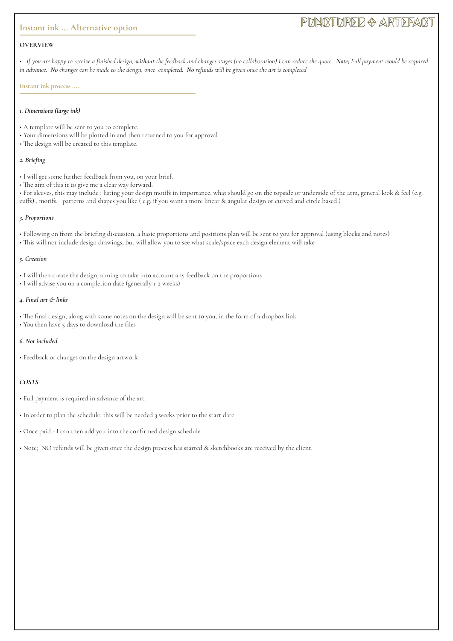# **Instant ink ... Alternative option**

# PUNCTURED & ARTEFACT

# **OVERVIEW**

• *If you are happy to receive a finished design, without the feedback and changes stages (no collaboration) I can reduce the quote . Note; Full payment would be required in advance. No changes can be made to the design, once completed. No refunds will be given once the art is completed*

#### **Instant ink process ....**

#### *1. Dimensions (large ink)*

- A template will be sent to you to complete.
- Your dimensions will be plotted in and then returned to you for approval.
- The design will be created to this template.

#### *2. Briefing*

- I will get some further feedback from you, on your brief.
- The aim of this it to give me a clear way forward.

• For sleeves, this may include ; listing your design motifs in importance, what should go on the topside or underside of the arm, general look & feel (e.g. cuffs) , motifs, patterns and shapes you like ( e.g. if you want a more linear & angular design or curved and circle based )

#### *3. Proportions*

- Following on from the briefing discussion, a basic proportions and positions plan will be sent to you for approval (using blocks and notes)
- This will not include design drawings, but will allow you to see what scale/space each design element will take

## *5. Creation*

- I will then create the design, aiming to take into account any feedback on the proportions
- I will advise you on a completion date (generally 1-2 weeks)

## *4. Final art & links*

- The final design, along with some notes on the design will be sent to you, in the form of a dropbox link.
- You then have 5 days to download the files

## *6. Not included*

• Feedback or changes on the design artwork

## *COSTS*

- Full payment is required in advance of the art.
- In order to plan the schedule, this will be needed 3 weeks prior to the start date
- Once paid I can then add you into the confirmed design schedule
- Note; NO refunds will be given once the design process has started & sketchbooks are received by the client.